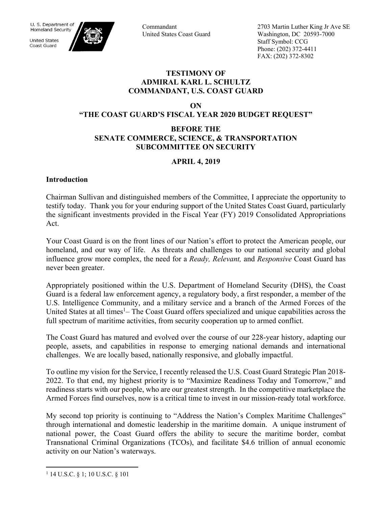

**United States** Coast Guard



Commandant United States Coast Guard 2703 Martin Luther King Jr Ave SE Washington, DC 20593-7000 Staff Symbol: CCG Phone: (202) 372-4411 FAX: (202) 372-8302

## **TESTIMONY OF ADMIRAL KARL L. SCHULTZ COMMANDANT, U.S. COAST GUARD**

**ON** 

**"THE COAST GUARD'S FISCAL YEAR 2020 BUDGET REQUEST"** 

## **BEFORE THE SENATE COMMERCE, SCIENCE, & TRANSPORTATION SUBCOMMITTEE ON SECURITY**

# **APRIL 4, 2019**

## **Introduction**

Chairman Sullivan and distinguished members of the Committee, I appreciate the opportunity to testify today. Thank you for your enduring support of the United States Coast Guard, particularly the significant investments provided in the Fiscal Year (FY) 2019 Consolidated Appropriations Act.

Your Coast Guard is on the front lines of our Nation's effort to protect the American people, our homeland, and our way of life. As threats and challenges to our national security and global influence grow more complex, the need for a *Ready, Relevant,* and *Responsive* Coast Guard has never been greater.

Appropriately positioned within the U.S. Department of Homeland Security (DHS), the Coast Guard is a federal law enforcement agency, a regulatory body, a first responder, a member of the U.S. Intelligence Community, and a military service and a branch of the Armed Forces of the United States at all times<sup>1</sup>– The Coast Guard offers specialized and unique capabilities across the full spectrum of maritime activities, from security cooperation up to armed conflict.

The Coast Guard has matured and evolved over the course of our 228-year history, adapting our people, assets, and capabilities in response to emerging national demands and international challenges. We are locally based, nationally responsive, and globally impactful.

To outline my vision for the Service, I recently released the U.S. Coast Guard Strategic Plan 2018- 2022. To that end, my highest priority is to "Maximize Readiness Today and Tomorrow," and readiness starts with our people, who are our greatest strength. In the competitive marketplace the Armed Forces find ourselves, now is a critical time to invest in our mission-ready total workforce.

My second top priority is continuing to "Address the Nation's Complex Maritime Challenges" through international and domestic leadership in the maritime domain. A unique instrument of national power, the Coast Guard offers the ability to secure the maritime border, combat Transnational Criminal Organizations (TCOs), and facilitate \$4.6 trillion of annual economic activity on our Nation's waterways.

 $\overline{a}$ 

<sup>1</sup> 14 U.S.C. § 1; 10 U.S.C. § 101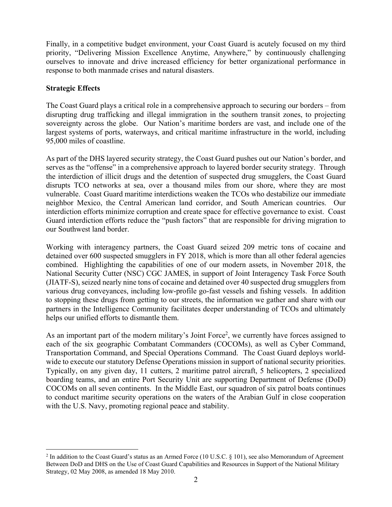Finally, in a competitive budget environment, your Coast Guard is acutely focused on my third priority, "Delivering Mission Excellence Anytime, Anywhere," by continuously challenging ourselves to innovate and drive increased efficiency for better organizational performance in response to both manmade crises and natural disasters.

## **Strategic Effects**

<u>.</u>

The Coast Guard plays a critical role in a comprehensive approach to securing our borders – from disrupting drug trafficking and illegal immigration in the southern transit zones, to projecting sovereignty across the globe. Our Nation's maritime borders are vast, and include one of the largest systems of ports, waterways, and critical maritime infrastructure in the world, including 95,000 miles of coastline.

As part of the DHS layered security strategy, the Coast Guard pushes out our Nation's border, and serves as the "offense" in a comprehensive approach to layered border security strategy. Through the interdiction of illicit drugs and the detention of suspected drug smugglers, the Coast Guard disrupts TCO networks at sea, over a thousand miles from our shore, where they are most vulnerable. Coast Guard maritime interdictions weaken the TCOs who destabilize our immediate neighbor Mexico, the Central American land corridor, and South American countries. Our interdiction efforts minimize corruption and create space for effective governance to exist. Coast Guard interdiction efforts reduce the "push factors" that are responsible for driving migration to our Southwest land border.

Working with interagency partners, the Coast Guard seized 209 metric tons of cocaine and detained over 600 suspected smugglers in FY 2018, which is more than all other federal agencies combined. Highlighting the capabilities of one of our modern assets, in November 2018, the National Security Cutter (NSC) CGC JAMES, in support of Joint Interagency Task Force South (JIATF-S), seized nearly nine tons of cocaine and detained over 40 suspected drug smugglers from various drug conveyances, including low-profile go-fast vessels and fishing vessels. In addition to stopping these drugs from getting to our streets, the information we gather and share with our partners in the Intelligence Community facilitates deeper understanding of TCOs and ultimately helps our unified efforts to dismantle them.

As an important part of the modern military's Joint Force<sup>2</sup>, we currently have forces assigned to each of the six geographic Combatant Commanders (COCOMs), as well as Cyber Command, Transportation Command, and Special Operations Command. The Coast Guard deploys worldwide to execute our statutory Defense Operations mission in support of national security priorities. Typically, on any given day, 11 cutters, 2 maritime patrol aircraft, 5 helicopters, 2 specialized boarding teams, and an entire Port Security Unit are supporting Department of Defense (DoD) COCOMs on all seven continents. In the Middle East, our squadron of six patrol boats continues to conduct maritime security operations on the waters of the Arabian Gulf in close cooperation with the U.S. Navy, promoting regional peace and stability.

<sup>&</sup>lt;sup>2</sup> In addition to the Coast Guard's status as an Armed Force (10 U.S.C. § 101), see also Memorandum of Agreement Between DoD and DHS on the Use of Coast Guard Capabilities and Resources in Support of the National Military Strategy, 02 May 2008, as amended 18 May 2010.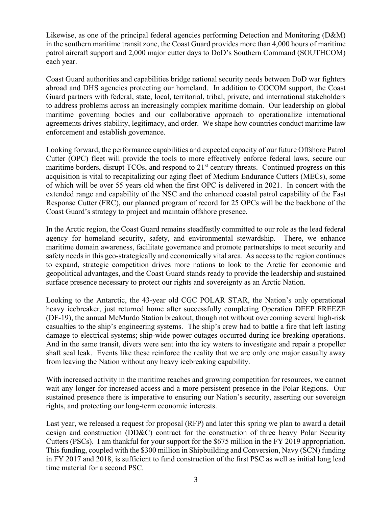Likewise, as one of the principal federal agencies performing Detection and Monitoring (D&M) in the southern maritime transit zone, the Coast Guard provides more than 4,000 hours of maritime patrol aircraft support and 2,000 major cutter days to DoD's Southern Command (SOUTHCOM) each year.

Coast Guard authorities and capabilities bridge national security needs between DoD war fighters abroad and DHS agencies protecting our homeland. In addition to COCOM support, the Coast Guard partners with federal, state, local, territorial, tribal, private, and international stakeholders to address problems across an increasingly complex maritime domain. Our leadership on global maritime governing bodies and our collaborative approach to operationalize international agreements drives stability, legitimacy, and order. We shape how countries conduct maritime law enforcement and establish governance.

Looking forward, the performance capabilities and expected capacity of our future Offshore Patrol Cutter (OPC) fleet will provide the tools to more effectively enforce federal laws, secure our maritime borders, disrupt  $TCOs$ , and respond to  $21<sup>st</sup>$  century threats. Continued progress on this acquisition is vital to recapitalizing our aging fleet of Medium Endurance Cutters (MECs), some of which will be over 55 years old when the first OPC is delivered in 2021. In concert with the extended range and capability of the NSC and the enhanced coastal patrol capability of the Fast Response Cutter (FRC), our planned program of record for 25 OPCs will be the backbone of the Coast Guard's strategy to project and maintain offshore presence.

In the Arctic region, the Coast Guard remains steadfastly committed to our role as the lead federal agency for homeland security, safety, and environmental stewardship. There, we enhance maritime domain awareness, facilitate governance and promote partnerships to meet security and safety needs in this geo-strategically and economically vital area. As access to the region continues to expand, strategic competition drives more nations to look to the Arctic for economic and geopolitical advantages, and the Coast Guard stands ready to provide the leadership and sustained surface presence necessary to protect our rights and sovereignty as an Arctic Nation.

Looking to the Antarctic, the 43-year old CGC POLAR STAR, the Nation's only operational heavy icebreaker, just returned home after successfully completing Operation DEEP FREEZE (DF-19), the annual McMurdo Station breakout, though not without overcoming several high-risk casualties to the ship's engineering systems. The ship's crew had to battle a fire that left lasting damage to electrical systems; ship-wide power outages occurred during ice breaking operations. And in the same transit, divers were sent into the icy waters to investigate and repair a propeller shaft seal leak. Events like these reinforce the reality that we are only one major casualty away from leaving the Nation without any heavy icebreaking capability.

With increased activity in the maritime reaches and growing competition for resources, we cannot wait any longer for increased access and a more persistent presence in the Polar Regions. Our sustained presence there is imperative to ensuring our Nation's security, asserting our sovereign rights, and protecting our long-term economic interests.

Last year, we released a request for proposal (RFP) and later this spring we plan to award a detail design and construction (DD&C) contract for the construction of three heavy Polar Security Cutters (PSCs). I am thankful for your support for the \$675 million in the FY 2019 appropriation. This funding, coupled with the \$300 million in Shipbuilding and Conversion, Navy (SCN) funding in FY 2017 and 2018, is sufficient to fund construction of the first PSC as well as initial long lead time material for a second PSC.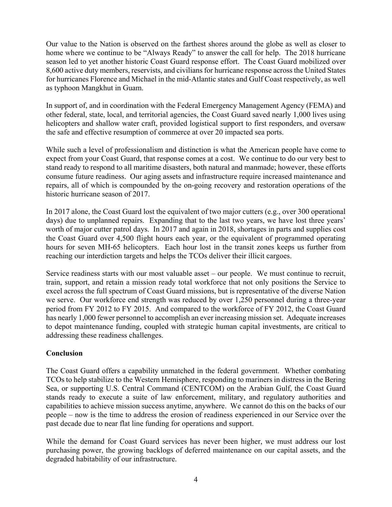Our value to the Nation is observed on the farthest shores around the globe as well as closer to home where we continue to be "Always Ready" to answer the call for help. The 2018 hurricane season led to yet another historic Coast Guard response effort. The Coast Guard mobilized over 8,600 active duty members, reservists, and civilians for hurricane response across the United States for hurricanes Florence and Michael in the mid-Atlantic states and Gulf Coast respectively, as well as typhoon Mangkhut in Guam.

In support of, and in coordination with the Federal Emergency Management Agency (FEMA) and other federal, state, local, and territorial agencies, the Coast Guard saved nearly 1,000 lives using helicopters and shallow water craft, provided logistical support to first responders, and oversaw the safe and effective resumption of commerce at over 20 impacted sea ports.

While such a level of professionalism and distinction is what the American people have come to expect from your Coast Guard, that response comes at a cost. We continue to do our very best to stand ready to respond to all maritime disasters, both natural and manmade; however, these efforts consume future readiness. Our aging assets and infrastructure require increased maintenance and repairs, all of which is compounded by the on-going recovery and restoration operations of the historic hurricane season of 2017.

In 2017 alone, the Coast Guard lost the equivalent of two major cutters (e.g., over 300 operational days) due to unplanned repairs. Expanding that to the last two years, we have lost three years' worth of major cutter patrol days. In 2017 and again in 2018, shortages in parts and supplies cost the Coast Guard over 4,500 flight hours each year, or the equivalent of programmed operating hours for seven MH-65 helicopters. Each hour lost in the transit zones keeps us further from reaching our interdiction targets and helps the TCOs deliver their illicit cargoes.

Service readiness starts with our most valuable asset – our people. We must continue to recruit, train, support, and retain a mission ready total workforce that not only positions the Service to excel across the full spectrum of Coast Guard missions, but is representative of the diverse Nation we serve. Our workforce end strength was reduced by over 1,250 personnel during a three-year period from FY 2012 to FY 2015. And compared to the workforce of FY 2012, the Coast Guard has nearly 1,000 fewer personnel to accomplish an ever increasing mission set. Adequate increases to depot maintenance funding, coupled with strategic human capital investments, are critical to addressing these readiness challenges.

## **Conclusion**

The Coast Guard offers a capability unmatched in the federal government. Whether combating TCOs to help stabilize to the Western Hemisphere, responding to mariners in distress in the Bering Sea, or supporting U.S. Central Command (CENTCOM) on the Arabian Gulf, the Coast Guard stands ready to execute a suite of law enforcement, military, and regulatory authorities and capabilities to achieve mission success anytime, anywhere. We cannot do this on the backs of our people – now is the time to address the erosion of readiness experienced in our Service over the past decade due to near flat line funding for operations and support.

While the demand for Coast Guard services has never been higher, we must address our lost purchasing power, the growing backlogs of deferred maintenance on our capital assets, and the degraded habitability of our infrastructure.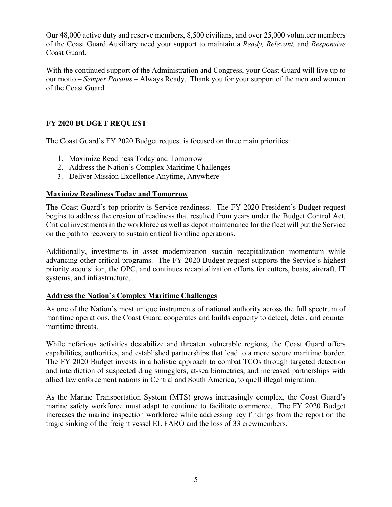Our 48,000 active duty and reserve members, 8,500 civilians, and over 25,000 volunteer members of the Coast Guard Auxiliary need your support to maintain a *Ready, Relevant,* and *Responsive*  Coast Guard.

With the continued support of the Administration and Congress, your Coast Guard will live up to our motto – *Semper Paratus* – Always Ready. Thank you for your support of the men and women of the Coast Guard.

## **FY 2020 BUDGET REQUEST**

The Coast Guard's FY 2020 Budget request is focused on three main priorities:

- 1. Maximize Readiness Today and Tomorrow
- 2. Address the Nation's Complex Maritime Challenges
- 3. Deliver Mission Excellence Anytime, Anywhere

#### **Maximize Readiness Today and Tomorrow**

The Coast Guard's top priority is Service readiness. The FY 2020 President's Budget request begins to address the erosion of readiness that resulted from years under the Budget Control Act. Critical investments in the workforce as well as depot maintenance for the fleet will put the Service on the path to recovery to sustain critical frontline operations.

Additionally, investments in asset modernization sustain recapitalization momentum while advancing other critical programs. The FY 2020 Budget request supports the Service's highest priority acquisition, the OPC, and continues recapitalization efforts for cutters, boats, aircraft, IT systems, and infrastructure.

#### **Address the Nation's Complex Maritime Challenges**

As one of the Nation's most unique instruments of national authority across the full spectrum of maritime operations, the Coast Guard cooperates and builds capacity to detect, deter, and counter maritime threats.

While nefarious activities destabilize and threaten vulnerable regions, the Coast Guard offers capabilities, authorities, and established partnerships that lead to a more secure maritime border. The FY 2020 Budget invests in a holistic approach to combat TCOs through targeted detection and interdiction of suspected drug smugglers, at-sea biometrics, and increased partnerships with allied law enforcement nations in Central and South America, to quell illegal migration.

As the Marine Transportation System (MTS) grows increasingly complex, the Coast Guard's marine safety workforce must adapt to continue to facilitate commerce. The FY 2020 Budget increases the marine inspection workforce while addressing key findings from the report on the tragic sinking of the freight vessel EL FARO and the loss of 33 crewmembers.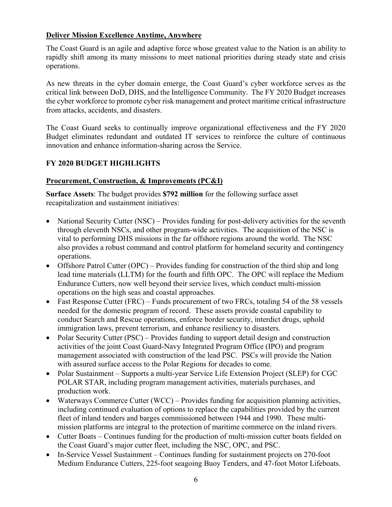## **Deliver Mission Excellence Anytime, Anywhere**

The Coast Guard is an agile and adaptive force whose greatest value to the Nation is an ability to rapidly shift among its many missions to meet national priorities during steady state and crisis operations.

As new threats in the cyber domain emerge, the Coast Guard's cyber workforce serves as the critical link between DoD, DHS, and the Intelligence Community. The FY 2020 Budget increases the cyber workforce to promote cyber risk management and protect maritime critical infrastructure from attacks, accidents, and disasters.

The Coast Guard seeks to continually improve organizational effectiveness and the FY 2020 Budget eliminates redundant and outdated IT services to reinforce the culture of continuous innovation and enhance information-sharing across the Service.

## **FY 2020 BUDGET HIGHLIGHTS**

## **Procurement, Construction, & Improvements (PC&I)**

**Surface Assets**: The budget provides **\$792 million** for the following surface asset recapitalization and sustainment initiatives:

- National Security Cutter (NSC) Provides funding for post-delivery activities for the seventh through eleventh NSCs, and other program-wide activities. The acquisition of the NSC is vital to performing DHS missions in the far offshore regions around the world. The NSC also provides a robust command and control platform for homeland security and contingency operations.
- Offshore Patrol Cutter (OPC) Provides funding for construction of the third ship and long lead time materials (LLTM) for the fourth and fifth OPC. The OPC will replace the Medium Endurance Cutters, now well beyond their service lives, which conduct multi-mission operations on the high seas and coastal approaches.
- Fast Response Cutter (FRC) Funds procurement of two FRCs, totaling 54 of the 58 vessels needed for the domestic program of record. These assets provide coastal capability to conduct Search and Rescue operations, enforce border security, interdict drugs, uphold immigration laws, prevent terrorism, and enhance resiliency to disasters.
- Polar Security Cutter (PSC) Provides funding to support detail design and construction activities of the joint Coast Guard-Navy Integrated Program Office (IPO) and program management associated with construction of the lead PSC. PSCs will provide the Nation with assured surface access to the Polar Regions for decades to come.
- Polar Sustainment Supports a multi-year Service Life Extension Project (SLEP) for CGC POLAR STAR, including program management activities, materials purchases, and production work.
- Waterways Commerce Cutter (WCC) Provides funding for acquisition planning activities, including continued evaluation of options to replace the capabilities provided by the current fleet of inland tenders and barges commissioned between 1944 and 1990. These multimission platforms are integral to the protection of maritime commerce on the inland rivers.
- Cutter Boats Continues funding for the production of multi-mission cutter boats fielded on the Coast Guard's major cutter fleet, including the NSC, OPC, and PSC.
- In-Service Vessel Sustainment Continues funding for sustainment projects on 270-foot Medium Endurance Cutters, 225-foot seagoing Buoy Tenders, and 47-foot Motor Lifeboats.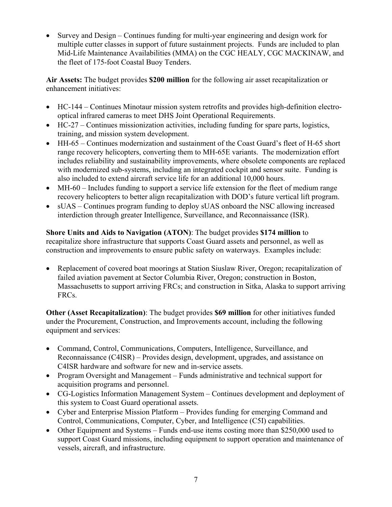Survey and Design – Continues funding for multi-year engineering and design work for multiple cutter classes in support of future sustainment projects. Funds are included to plan Mid-Life Maintenance Availabilities (MMA) on the CGC HEALY, CGC MACKINAW, and the fleet of 175-foot Coastal Buoy Tenders.

**Air Assets:** The budget provides **\$200 million** for the following air asset recapitalization or enhancement initiatives:

- HC-144 Continues Minotaur mission system retrofits and provides high-definition electrooptical infrared cameras to meet DHS Joint Operational Requirements.
- HC-27 Continues missionization activities, including funding for spare parts, logistics, training, and mission system development.
- HH-65 Continues modernization and sustainment of the Coast Guard's fleet of H-65 short range recovery helicopters, converting them to MH-65E variants. The modernization effort includes reliability and sustainability improvements, where obsolete components are replaced with modernized sub-systems, including an integrated cockpit and sensor suite. Funding is also included to extend aircraft service life for an additional 10,000 hours.
- MH-60 Includes funding to support a service life extension for the fleet of medium range recovery helicopters to better align recapitalization with DOD's future vertical lift program.
- sUAS Continues program funding to deploy sUAS onboard the NSC allowing increased interdiction through greater Intelligence, Surveillance, and Reconnaissance (ISR).

**Shore Units and Aids to Navigation (ATON)**: The budget provides **\$174 million** to recapitalize shore infrastructure that supports Coast Guard assets and personnel, as well as construction and improvements to ensure public safety on waterways. Examples include:

 Replacement of covered boat moorings at Station Siuslaw River, Oregon; recapitalization of failed aviation pavement at Sector Columbia River, Oregon; construction in Boston, Massachusetts to support arriving FRCs; and construction in Sitka, Alaska to support arriving FRCs.

**Other (Asset Recapitalization)**: The budget provides **\$69 million** for other initiatives funded under the Procurement, Construction, and Improvements account, including the following equipment and services:

- Command, Control, Communications, Computers, Intelligence, Surveillance, and Reconnaissance (C4ISR) – Provides design, development, upgrades, and assistance on C4ISR hardware and software for new and in-service assets.
- Program Oversight and Management Funds administrative and technical support for acquisition programs and personnel.
- CG-Logistics Information Management System Continues development and deployment of this system to Coast Guard operational assets.
- Cyber and Enterprise Mission Platform Provides funding for emerging Command and Control, Communications, Computer, Cyber, and Intelligence (C5I) capabilities.
- Other Equipment and Systems Funds end-use items costing more than \$250,000 used to support Coast Guard missions, including equipment to support operation and maintenance of vessels, aircraft, and infrastructure.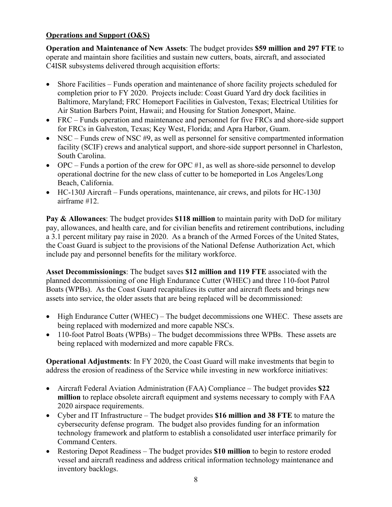## **Operations and Support (O&S)**

**Operation and Maintenance of New Assets**: The budget provides **\$59 million and 297 FTE** to operate and maintain shore facilities and sustain new cutters, boats, aircraft, and associated C4ISR subsystems delivered through acquisition efforts:

- Shore Facilities Funds operation and maintenance of shore facility projects scheduled for completion prior to FY 2020. Projects include: Coast Guard Yard dry dock facilities in Baltimore, Maryland; FRC Homeport Facilities in Galveston, Texas; Electrical Utilities for Air Station Barbers Point, Hawaii; and Housing for Station Jonesport, Maine.
- FRC Funds operation and maintenance and personnel for five FRCs and shore-side support for FRCs in Galveston, Texas; Key West, Florida; and Apra Harbor, Guam.
- $\bullet$  NSC Funds crew of NSC #9, as well as personnel for sensitive compartmented information facility (SCIF) crews and analytical support, and shore-side support personnel in Charleston, South Carolina.
- $\bullet$  OPC Funds a portion of the crew for OPC #1, as well as shore-side personnel to develop operational doctrine for the new class of cutter to be homeported in Los Angeles/Long Beach, California.
- HC-130J Aircraft Funds operations, maintenance, air crews, and pilots for HC-130J airframe #12.

**Pay & Allowances**: The budget provides **\$118 million** to maintain parity with DoD for military pay, allowances, and health care, and for civilian benefits and retirement contributions, including a 3.1 percent military pay raise in 2020. As a branch of the Armed Forces of the United States, the Coast Guard is subject to the provisions of the National Defense Authorization Act, which include pay and personnel benefits for the military workforce.

**Asset Decommissionings**: The budget saves **\$12 million and 119 FTE** associated with the planned decommissioning of one High Endurance Cutter (WHEC) and three 110-foot Patrol Boats (WPBs). As the Coast Guard recapitalizes its cutter and aircraft fleets and brings new assets into service, the older assets that are being replaced will be decommissioned:

- High Endurance Cutter (WHEC) The budget decommissions one WHEC. These assets are being replaced with modernized and more capable NSCs.
- 110-foot Patrol Boats (WPBs) The budget decommissions three WPBs. These assets are being replaced with modernized and more capable FRCs.

**Operational Adjustments**: In FY 2020, the Coast Guard will make investments that begin to address the erosion of readiness of the Service while investing in new workforce initiatives:

- Aircraft Federal Aviation Administration (FAA) Compliance The budget provides **\$22 million** to replace obsolete aircraft equipment and systems necessary to comply with FAA 2020 airspace requirements.
- Cyber and IT Infrastructure The budget provides **\$16 million and 38 FTE** to mature the cybersecurity defense program. The budget also provides funding for an information technology framework and platform to establish a consolidated user interface primarily for Command Centers.
- Restoring Depot Readiness The budget provides **\$10 million** to begin to restore eroded vessel and aircraft readiness and address critical information technology maintenance and inventory backlogs.